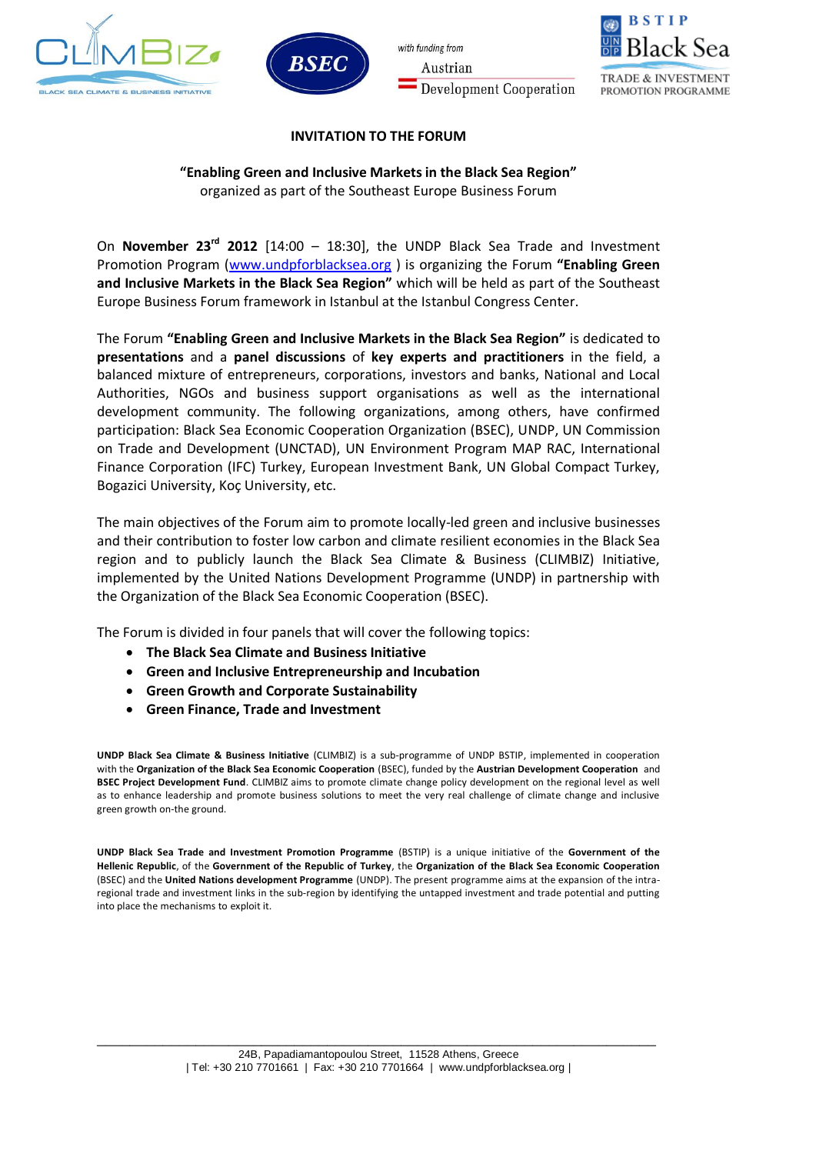



with funding from Austrian **Development Cooperation** 



### **INVITATION TO THE FORUM**

# **"Enabling Green and Inclusive Markets in the Black Sea Region"**

organized as part of the Southeast Europe Business Forum

On **November 23rd 2012** [14:00 – 18:30], the UNDP Black Sea Trade and Investment Promotion Program [\(www.undpforblacksea.org](http://www.undpforblacksea.org/) ) is organizing the Forum **"Enabling Green and Inclusive Markets in the Black Sea Region"** which will be held as part of the Southeast Europe Business Forum framework in Istanbul at the Istanbul Congress Center.

The Forum **"Enabling Green and Inclusive Markets in the Black Sea Region"** is dedicated to **presentations** and a **panel discussions** of **key experts and practitioners** in the field, a balanced mixture of entrepreneurs, corporations, investors and banks, National and Local Authorities, NGOs and business support organisations as well as the international development community. The following organizations, among others, have confirmed participation: Black Sea Economic Cooperation Organization (BSEC), UNDP, UN Commission on Trade and Development (UNCTAD), UN Environment Program MAP RAC, International Finance Corporation (IFC) Turkey, European Investment Bank, UN Global Compact Turkey, Bogazici University, Koç University, etc.

The main objectives of the Forum aim to promote locally-led green and inclusive businesses and their contribution to foster low carbon and climate resilient economies in the Black Sea region and to publicly launch the Black Sea Climate & Business (CLIMBIZ) Initiative, implemented by the United Nations Development Programme (UNDP) in partnership with the Organization of the Black Sea Economic Cooperation (BSEC).

The Forum is divided in four panels that will cover the following topics:

- **The Black Sea Climate and Business Initiative**
- **Green and Inclusive Entrepreneurship and Incubation**
- **Green Growth and Corporate Sustainability**
- **Green Finance, Trade and Investment**

**UNDP Black Sea Climate & Business Initiative** (CLIMBIZ) is a sub-programme of UNDP BSTIP, implemented in cooperation with the **Organization of the Black Sea Economic Cooperation** (BSEC), funded by the **Austrian Development Cooperation** and **BSEC Project Development Fund**. CLIMBIZ aims to promote climate change policy development on the regional level as well as to enhance leadership and promote business solutions to meet the very real challenge of climate change and inclusive green growth on-the ground.

**UNDP Black Sea Trade and Investment Promotion Programme** (BSTIP) is a unique initiative of the **Government of the Hellenic Republic**, of the **Government of the Republic of Turkey**, the **Organization of the Black Sea Economic Cooperation**  (BSEC) and the **United Nations development Programme** (UNDP). The present programme aims at the expansion of the intraregional trade and investment links in the sub-region by identifying the untapped investment and trade potential and putting into place the mechanisms to exploit it.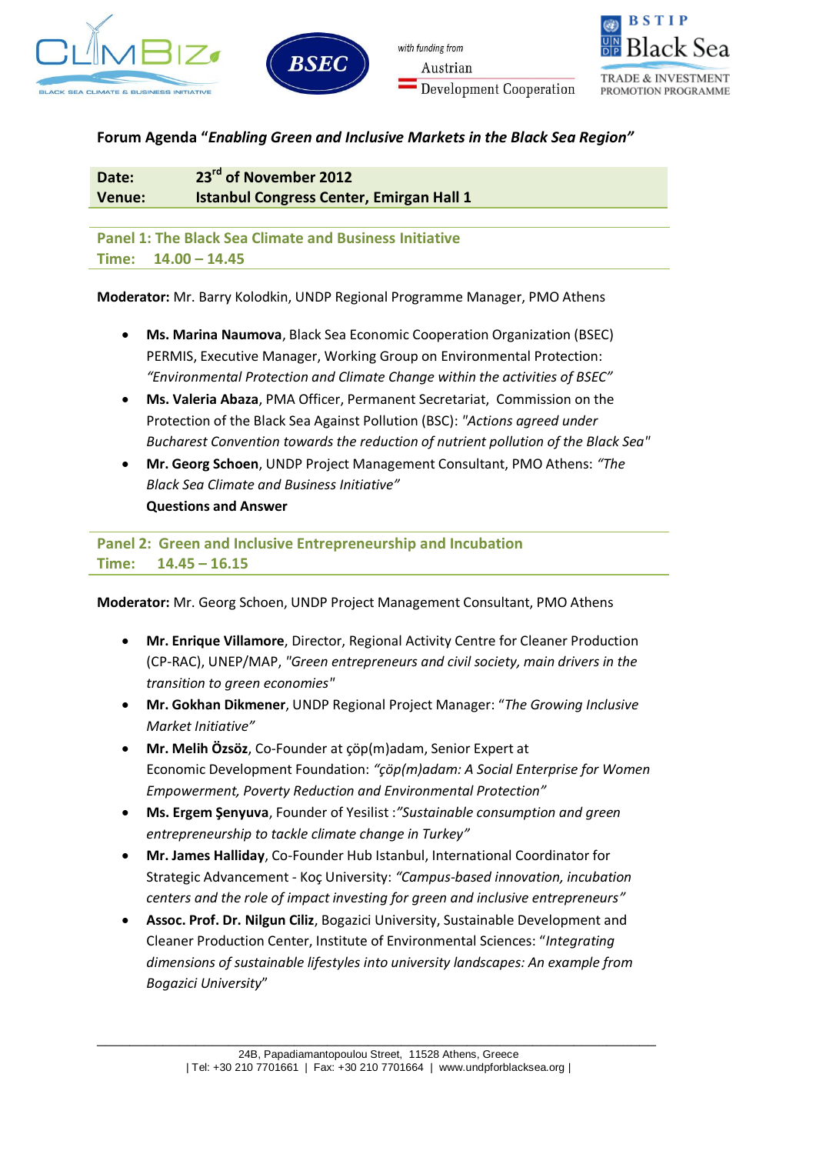





PROMOTION PROGRAMME

**Forum Agenda "***Enabling Green and Inclusive Markets in the Black Sea Region"*

**Date: 23rd of November 2012 Venue: Istanbul Congress Center, Emirgan Hall 1** 

**Panel 1: The Black Sea Climate and Business Initiative Time: 14.00 – 14.45**

**Moderator:** Mr. Barry Kolodkin, UNDP Regional Programme Manager, PMO Athens

- **Ms. Marina Naumova**, Black Sea Economic Cooperation Organization (BSEC) PERMIS, Executive Manager, Working Group on Environmental Protection: *"Environmental Protection and Climate Change within the activities of BSEC"*
- **Ms. Valeria Abaza**, PMA Officer, Permanent Secretariat, Commission on the Protection of the Black Sea Against Pollution (BSC): *"Actions agreed under Bucharest Convention towards the reduction of nutrient pollution of the Black Sea"*
- **Mr. Georg Schoen**, UNDP Project Management Consultant, PMO Athens: *"The Black Sea Climate and Business Initiative"* **Questions and Answer**

**Panel 2: Green and Inclusive Entrepreneurship and Incubation Time: 14.45 – 16.15**

**Moderator:** Mr. Georg Schoen, UNDP Project Management Consultant, PMO Athens

- **Mr. Enrique Villamore**, Director, Regional Activity Centre for Cleaner Production (CP-RAC), UNEP/MAP, *"Green entrepreneurs and civil society, main drivers in the transition to green economies"*
- **Mr. Gokhan Dikmener**, UNDP Regional Project Manager: "*The Growing Inclusive Market Initiative"*
- **Mr. Melih Özsöz**, Co-Founder at çöp(m)adam, Senior Expert at Economic Development Foundation: *"çöp(m)adam: A Social Enterprise for Women Empowerment, Poverty Reduction and Environmental Protection"*
- **Ms. Ergem Şenyuva**, Founder of Yesilist :*"Sustainable consumption and green entrepreneurship to tackle climate change in Turkey"*
- **Mr. James Halliday**, Co-Founder Hub Istanbul, International Coordinator for Strategic Advancement - Koç University: *"Campus-based innovation, incubation centers and the role of impact investing for green and inclusive entrepreneurs"*
- **Assoc. Prof. Dr. Nilgun Ciliz**, Bogazici University, Sustainable Development and Cleaner Production Center, Institute of Environmental Sciences: "*Integrating dimensions of sustainable lifestyles into university landscapes: An example from Bogazici University*"